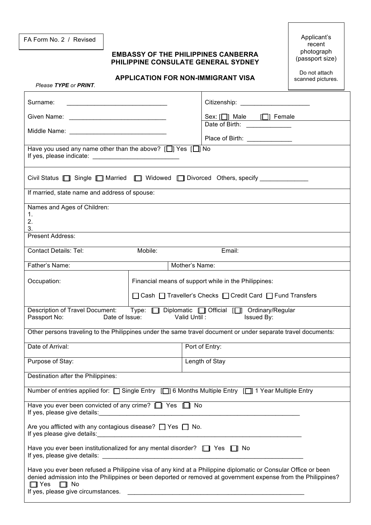FA Form No. 2 / Revised Applicant's

## **EMBASSY OF THE PHILIPPINES CANBERRA PHILIPPINE CONSULATE GENERAL SYDNEY**

recent photograph (passport size)

## **APPLICATION FOR NON-IMMIGRANT VISA**

Do not attach scanned pictures.

| Please TYPE or PRINT.                                                                                                                                                                                                                                                                         |                                                      |                                                            |  |  |
|-----------------------------------------------------------------------------------------------------------------------------------------------------------------------------------------------------------------------------------------------------------------------------------------------|------------------------------------------------------|------------------------------------------------------------|--|--|
| Surname:                                                                                                                                                                                                                                                                                      |                                                      | Citizenship: _____________________                         |  |  |
| Given Name: <u>______________________________</u>                                                                                                                                                                                                                                             |                                                      | Sex: [O] Male [O] Female                                   |  |  |
| Middle Name: __________________________________                                                                                                                                                                                                                                               |                                                      | Date of Birth: _____________                               |  |  |
|                                                                                                                                                                                                                                                                                               |                                                      | Place of Birth: ______________                             |  |  |
| Have you used any name other than the above? [□] Yes [□] No                                                                                                                                                                                                                                   |                                                      |                                                            |  |  |
| Civil Status <b>[64]</b> Single <b>[64]</b> Married <b>[64]</b> Widowed <b>[66]</b> Divorced Others, specify <b>COVER</b>                                                                                                                                                                     |                                                      |                                                            |  |  |
| If married, state name and address of spouse:                                                                                                                                                                                                                                                 |                                                      |                                                            |  |  |
| Names and Ages of Children:                                                                                                                                                                                                                                                                   |                                                      |                                                            |  |  |
| 1.<br>2.                                                                                                                                                                                                                                                                                      |                                                      |                                                            |  |  |
| 3.                                                                                                                                                                                                                                                                                            |                                                      |                                                            |  |  |
| Present Address:                                                                                                                                                                                                                                                                              |                                                      |                                                            |  |  |
| <b>Contact Details: Tel:</b>                                                                                                                                                                                                                                                                  | Mobile:                                              | Email:                                                     |  |  |
| Mother's Name:<br>Father's Name:                                                                                                                                                                                                                                                              |                                                      |                                                            |  |  |
| Occupation:                                                                                                                                                                                                                                                                                   | Financial means of support while in the Philippines: |                                                            |  |  |
|                                                                                                                                                                                                                                                                                               |                                                      | □ Cash □ Traveller's Checks □ Credit Card □ Fund Transfers |  |  |
| Description of Travel Document: Type: [ ] Diplomatic [ ] Official [ ] Ordinary/Regular<br>Valid Until:<br>Passport No:<br>Date of Issue:<br>Issued By:                                                                                                                                        |                                                      |                                                            |  |  |
| Other persons traveling to the Philippines under the same travel document or under separate travel documents:                                                                                                                                                                                 |                                                      |                                                            |  |  |
| Date of Arrival:                                                                                                                                                                                                                                                                              |                                                      | Port of Entry:                                             |  |  |
| Purpose of Stay:                                                                                                                                                                                                                                                                              |                                                      | Length of Stay                                             |  |  |
| Destination after the Philippines:                                                                                                                                                                                                                                                            |                                                      |                                                            |  |  |
| Number of entries applied for: [Single Entry [[]] 6 Months Multiple Entry [[]] 1 Year Multiple Entry                                                                                                                                                                                          |                                                      |                                                            |  |  |
| Have you ever been convicted of any crime? $\Box$ Yes $\Box$ No                                                                                                                                                                                                                               |                                                      |                                                            |  |  |
| Are you afflicted with any contagious disease? $\Box$ Yes $\Box$ No.                                                                                                                                                                                                                          |                                                      |                                                            |  |  |
| Have you ever been institutionalized for any mental disorder? [ ] Yes [ ] No                                                                                                                                                                                                                  |                                                      |                                                            |  |  |
| Have you ever been refused a Philippine visa of any kind at a Philippine diplomatic or Consular Office or been<br>denied admission into the Philippines or been deported or removed at government expense from the Philippines?<br>$\Box$ Yes $\Box$ No<br>If yes, please give circumstances. |                                                      |                                                            |  |  |